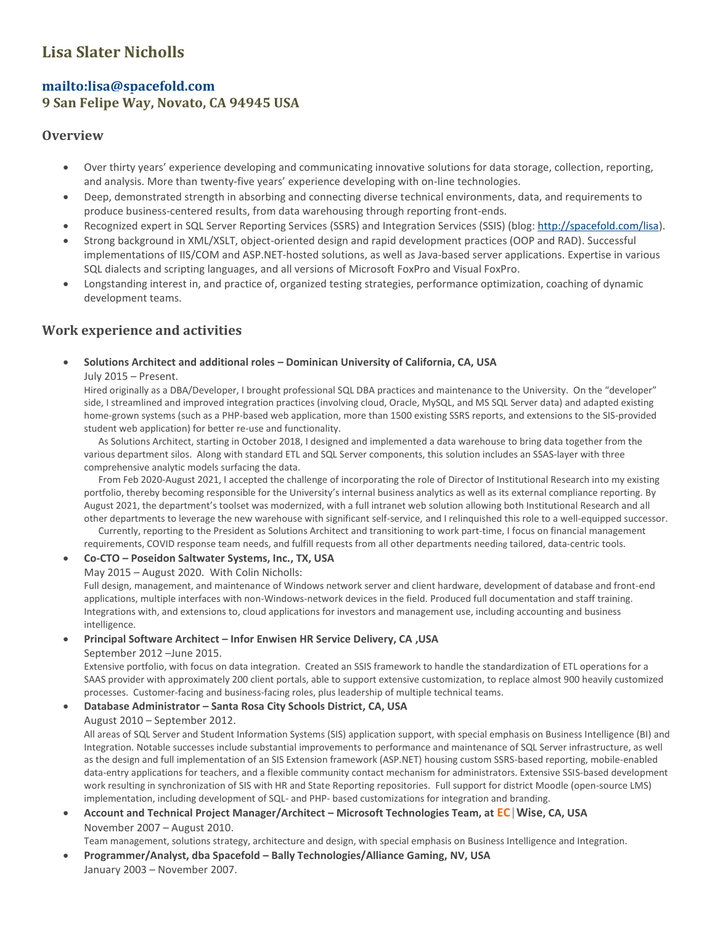# **Lisa Slater Nicholls**

# **<mailto:lisa@spacefold.com>**

**9 San Felipe Way, Novato, CA 94945 USA**

## **Overview**

- Over thirty years' experience developing and communicating innovative solutions for data storage, collection, reporting, and analysis. More than twenty-five years' experience developing with on-line technologies.
- Deep, demonstrated strength in absorbing and connecting diverse technical environments, data, and requirements to produce business-centered results, from data warehousing through reporting front-ends.
- Recognized expert in SQL Server Reporting Services (SSRS) and Integration Services (SSIS) (blog[: http://spacefold.com/lisa\)](http://spacefold.com/lisa).
- Strong background in XML/XSLT, object-oriented design and rapid development practices (OOP and RAD). Successful implementations of IIS/COM and ASP.NET-hosted solutions, as well as Java-based server applications. Expertise in various SQL dialects and scripting languages, and all versions of Microsoft FoxPro and Visual FoxPro.
- Longstanding interest in, and practice of, organized testing strategies, performance optimization, coaching of dynamic development teams.

# **Work experience and activities**

## **Solutions Architect and additional roles – Dominican University of California, CA, USA**

#### July 2015 – Present.

Hired originally as a DBA/Developer, I brought professional SQL DBA practices and maintenance to the University. On the "developer" side, I streamlined and improved integration practices (involving cloud, Oracle, MySQL, and MS SQL Server data) and adapted existing home-grown systems (such as a PHP-based web application, more than 1500 existing SSRS reports, and extensions to the SIS-provided student web application) for better re-use and functionality.

 As Solutions Architect, starting in October 2018, I designed and implemented a data warehouse to bring data together from the various department silos. Along with standard ETL and SQL Server components, this solution includes an SSAS-layer with three comprehensive analytic models surfacing the data.

 From Feb 2020-August 2021, I accepted the challenge of incorporating the role of Director of Institutional Research into my existing portfolio, thereby becoming responsible for the University's internal business analytics as well as its external compliance reporting. By August 2021, the department's toolset was modernized, with a full intranet web solution allowing both Institutional Research and all other departments to leverage the new warehouse with significant self-service, and I relinquished this role to a well-equipped successor.

 Currently, reporting to the President as Solutions Architect and transitioning to work part-time, I focus on financial management requirements, COVID response team needs, and fulfill requests from all other departments needing tailored, data-centric tools.

### **Co-CTO – Poseidon Saltwater Systems, Inc., TX, USA**

May 2015 – August 2020. With Colin Nicholls:

Full design, management, and maintenance of Windows network server and client hardware, development of database and front-end applications, multiple interfaces with non-Windows-network devices in the field. Produced full documentation and staff training. Integrations with, and extensions to, cloud applications for investors and management use, including accounting and business intelligence.

## **Principal Software Architect – Infor Enwisen HR Service Delivery, CA ,USA**

#### September 2012 –June 2015.

Extensive portfolio, with focus on data integration. Created an SSIS framework to handle the standardization of ETL operations for a SAAS provider with approximately 200 client portals, able to support extensive customization, to replace almost 900 heavily customized processes. Customer-facing and business-facing roles, plus leadership of multiple technical teams.

### **Database Administrator – Santa Rosa City Schools District, CA, USA**

### August 2010 – September 2012.

All areas of SQL Server and Student Information Systems (SIS) application support, with special emphasis on Business Intelligence (BI) and Integration. Notable successes include substantial improvements to performance and maintenance of SQL Server infrastructure, as well as the design and full implementation of an SIS Extension framework (ASP.NET) housing custom SSRS-based reporting, mobile-enabled data-entry applications for teachers, and a flexible community contact mechanism for administrators. Extensive SSIS-based development work resulting in synchronization of SIS with HR and State Reporting repositories. Full support for district Moodle (open-source LMS) implementation, including development of SQL- and PHP- based customizations for integration and branding.

### **Account and Technical Project Manager/Architect – Microsoft Technologies Team, at EC|Wise, CA, USA** November 2007 – August 2010.

Team management, solutions strategy, architecture and design, with special emphasis on Business Intelligence and Integration.

 **Programmer/Analyst, dba Spacefold – Bally Technologies/Alliance Gaming, NV, USA** January 2003 – November 2007.